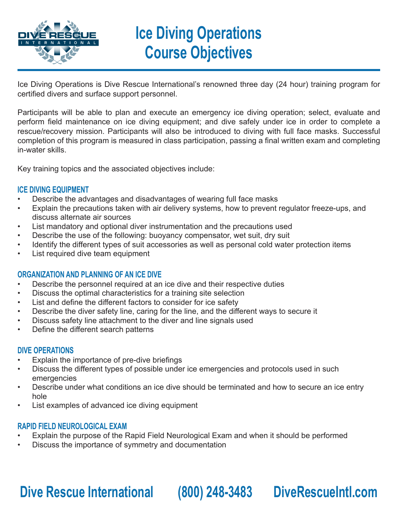

# **Ice Diving Operations Course Objectives**

Ice Diving Operations is Dive Rescue International's renowned three day (24 hour) training program for certified divers and surface support personnel.

Participants will be able to plan and execute an emergency ice diving operation; select, evaluate and perform field maintenance on ice diving equipment; and dive safely under ice in order to complete a rescue/recovery mission. Participants will also be introduced to diving with full face masks. Successful completion of this program is measured in class participation, passing a final written exam and completing in-water skills.

Key training topics and the associated objectives include:

### **ICE DIVING EQUIPMENT**

- Describe the advantages and disadvantages of wearing full face masks
- Explain the precautions taken with air delivery systems, how to prevent regulator freeze-ups, and discuss alternate air sources
- List mandatory and optional diver instrumentation and the precautions used
- Describe the use of the following: buoyancy compensator, wet suit, dry suit
- Identify the different types of suit accessories as well as personal cold water protection items
- List required dive team equipment

## **ORGANIZATION AND PLANNING OF AN ICE DIVE**

- Describe the personnel required at an ice dive and their respective duties
- Discuss the optimal characteristics for a training site selection
- List and define the different factors to consider for ice safety
- Describe the diver safety line, caring for the line, and the different ways to secure it
- Discuss safety line attachment to the diver and line signals used
- Define the different search patterns

### **DIVE OPERATIONS**

- Explain the importance of pre-dive briefings
- Discuss the different types of possible under ice emergencies and protocols used in such emergencies
- Describe under what conditions an ice dive should be terminated and how to secure an ice entry hole
- List examples of advanced ice diving equipment

## **RAPID FIELD NEUROLOGICAL EXAM**

- Explain the purpose of the Rapid Field Neurological Exam and when it should be performed
- Discuss the importance of symmetry and documentation

## **Dive Rescue International (800) 248-3483 DiveRescueIntl.com**